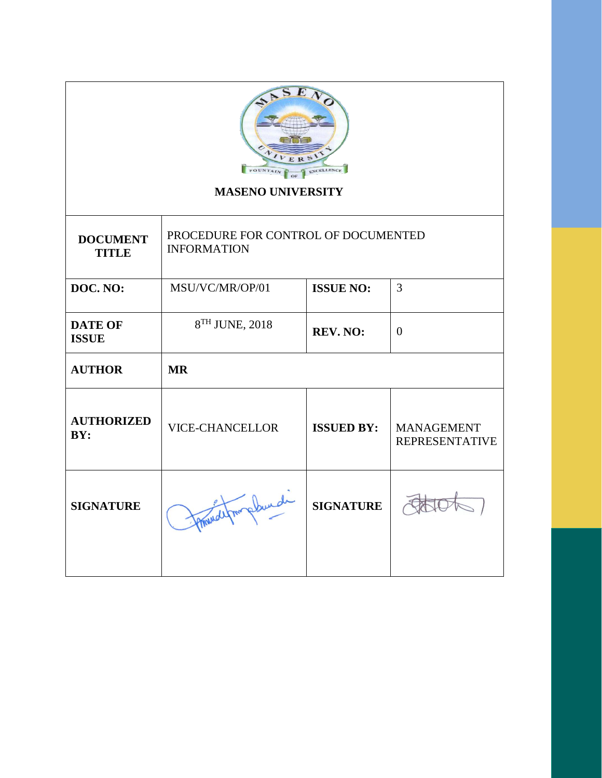| H<br>ERS<br><b>FOUNTA</b><br><b>MASENO UNIVERSITY</b> |                                                           |                                    |                                            |  |  |  |
|-------------------------------------------------------|-----------------------------------------------------------|------------------------------------|--------------------------------------------|--|--|--|
| <b>DOCUMENT</b><br><b>TITLE</b>                       | PROCEDURE FOR CONTROL OF DOCUMENTED<br><b>INFORMATION</b> |                                    |                                            |  |  |  |
| DOC. NO:                                              | MSU/VC/MR/OP/01                                           | $\overline{3}$<br><b>ISSUE NO:</b> |                                            |  |  |  |
| <b>DATE OF</b><br><b>ISSUE</b>                        | 8TH JUNE, 2018                                            | REV. NO:                           | $\Omega$                                   |  |  |  |
| <b>AUTHOR</b>                                         | <b>MR</b>                                                 |                                    |                                            |  |  |  |
| <b>AUTHORIZED</b><br>BY:                              | <b>VICE-CHANCELLOR</b>                                    | <b>ISSUED BY:</b>                  | <b>MANAGEMENT</b><br><b>REPRESENTATIVE</b> |  |  |  |
| <b>SIGNATURE</b>                                      | handel from                                               | <b>SIGNATURE</b>                   |                                            |  |  |  |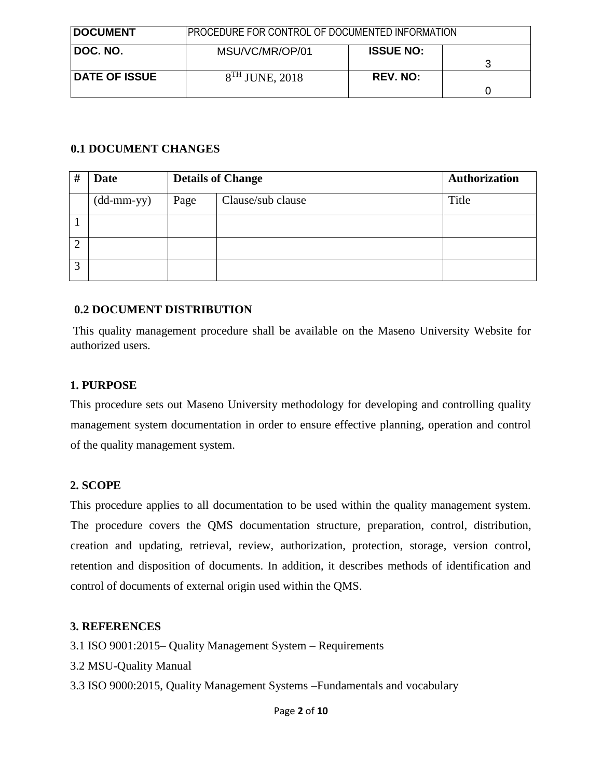| <b>DOCUMENT</b>      | PROCEDURE FOR CONTROL OF DOCUMENTED INFORMATION |                  |   |
|----------------------|-------------------------------------------------|------------------|---|
| DOC. NO.             | MSU/VC/MR/OP/01                                 | <b>ISSUE NO:</b> | 3 |
| <b>DATE OF ISSUE</b> | $8TH$ JUNE, 2018                                | <b>REV. NO:</b>  |   |

### **0.1 DOCUMENT CHANGES**

| ++ | <b>Date</b>                |      | <b>Details of Change</b> | <b>Authorization</b> |
|----|----------------------------|------|--------------------------|----------------------|
|    | $(dd\text{-}mm\text{-}yy)$ | Page | Clause/sub clause        | Title                |
|    |                            |      |                          |                      |
| ി  |                            |      |                          |                      |
| 3  |                            |      |                          |                      |

## **0.2 DOCUMENT DISTRIBUTION**

This quality management procedure shall be available on the Maseno University Website for authorized users.

### **1. PURPOSE**

This procedure sets out Maseno University methodology for developing and controlling quality management system documentation in order to ensure effective planning, operation and control of the quality management system.

### **2. SCOPE**

This procedure applies to all documentation to be used within the quality management system. The procedure covers the QMS documentation structure, preparation, control, distribution, creation and updating, retrieval, review, authorization, protection, storage, version control, retention and disposition of documents. In addition, it describes methods of identification and control of documents of external origin used within the QMS.

### **3. REFERENCES**

- 3.1 ISO 9001:2015– Quality Management System Requirements
- 3.2 MSU-Quality Manual
- 3.3 ISO 9000:2015, Quality Management Systems –Fundamentals and vocabulary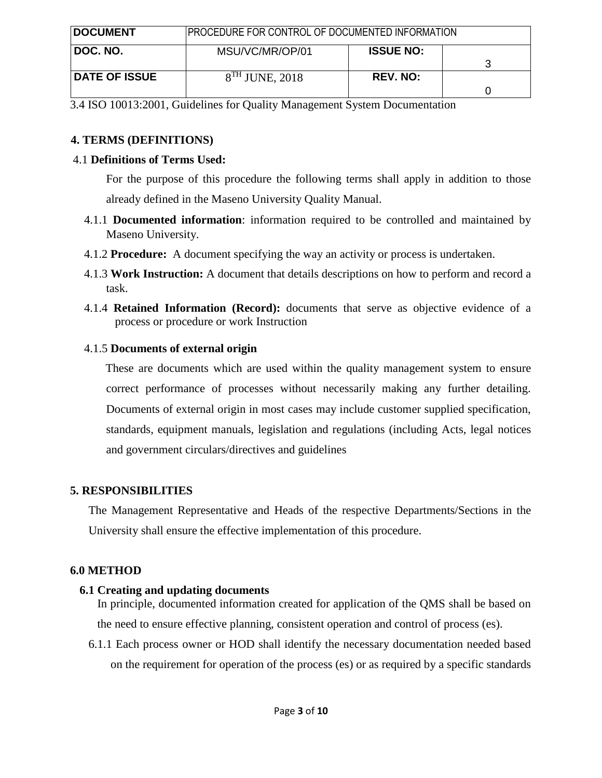| <b>DOCUMENT</b>      | PROCEDURE FOR CONTROL OF DOCUMENTED INFORMATION |                  |  |
|----------------------|-------------------------------------------------|------------------|--|
| <b>DOC. NO.</b>      | MSU/VC/MR/OP/01                                 | <b>ISSUE NO:</b> |  |
| <b>DATE OF ISSUE</b> | $8TH$ JUNE, 2018                                | <b>REV. NO:</b>  |  |

3.4 ISO 10013:2001, Guidelines for Quality Management System Documentation

### **4. TERMS (DEFINITIONS)**

### 4.1 **Definitions of Terms Used:**

For the purpose of this procedure the following terms shall apply in addition to those already defined in the Maseno University Quality Manual.

- 4.1.1 **Documented information**: information required to be controlled and maintained by Maseno University.
- 4.1.2 **Procedure:** A document specifying the way an activity or process is undertaken.
- 4.1.3 **Work Instruction:** A document that details descriptions on how to perform and record a task.
- 4.1.4 **Retained Information (Record):** documents that serve as objective evidence of a process or procedure or work Instruction

## 4.1.5 **Documents of external origin**

These are documents which are used within the quality management system to ensure correct performance of processes without necessarily making any further detailing. Documents of external origin in most cases may include customer supplied specification, standards, equipment manuals, legislation and regulations (including Acts, legal notices and government circulars/directives and guidelines

## **5. RESPONSIBILITIES**

The Management Representative and Heads of the respective Departments/Sections in the University shall ensure the effective implementation of this procedure.

## **6.0 METHOD**

## **6.1 Creating and updating documents**

In principle, documented information created for application of the QMS shall be based on the need to ensure effective planning, consistent operation and control of process (es).

6.1.1 Each process owner or HOD shall identify the necessary documentation needed based on the requirement for operation of the process (es) or as required by a specific standards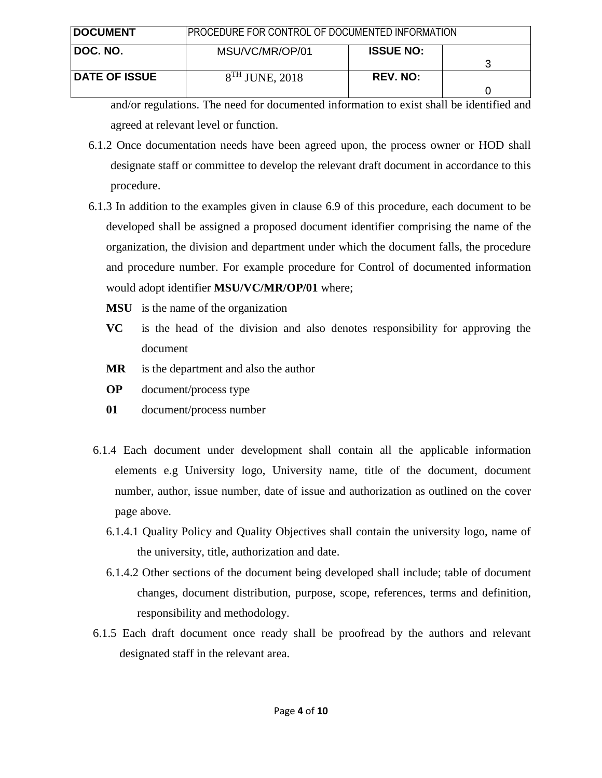| <b>DOCUMENT</b>      | PROCEDURE FOR CONTROL OF DOCUMENTED INFORMATION |                  |  |
|----------------------|-------------------------------------------------|------------------|--|
| DOC. NO.             | MSU/VC/MR/OP/01                                 | <b>ISSUE NO:</b> |  |
| <b>DATE OF ISSUE</b> | $8TH$ JUNE, 2018                                | <b>REV. NO:</b>  |  |

and/or regulations. The need for documented information to exist shall be identified and agreed at relevant level or function.

- 6.1.2 Once documentation needs have been agreed upon, the process owner or HOD shall designate staff or committee to develop the relevant draft document in accordance to this procedure.
- 6.1.3 In addition to the examples given in clause 6.9 of this procedure, each document to be developed shall be assigned a proposed document identifier comprising the name of the organization, the division and department under which the document falls, the procedure and procedure number. For example procedure for Control of documented information would adopt identifier **MSU/VC/MR/OP/01** where;
	- **MSU** is the name of the organization
	- **VC** is the head of the division and also denotes responsibility for approving the document
	- **MR** is the department and also the author
	- **OP** document/process type
	- **01** document/process number
- 6.1.4 Each document under development shall contain all the applicable information elements e.g University logo, University name, title of the document, document number, author, issue number, date of issue and authorization as outlined on the cover page above.
	- 6.1.4.1 Quality Policy and Quality Objectives shall contain the university logo, name of the university, title, authorization and date.
	- 6.1.4.2 Other sections of the document being developed shall include; table of document changes, document distribution, purpose, scope, references, terms and definition, responsibility and methodology.
- 6.1.5 Each draft document once ready shall be proofread by the authors and relevant designated staff in the relevant area.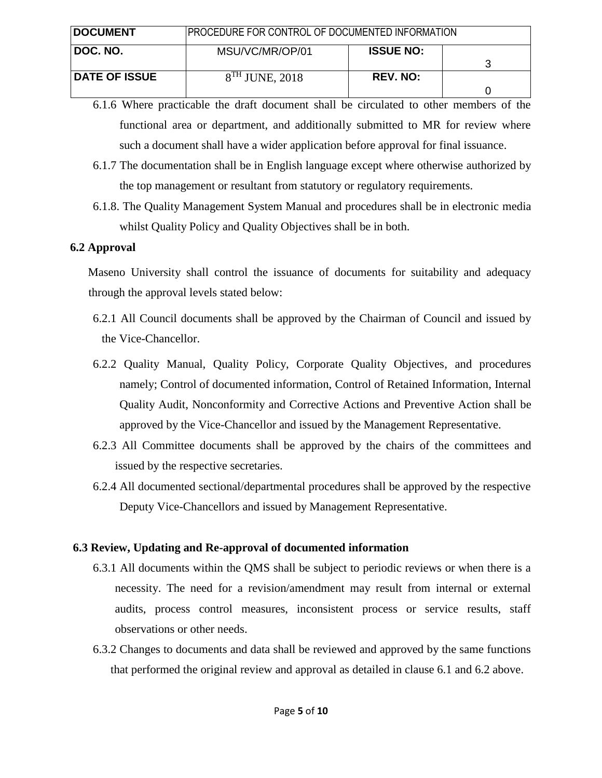| <b>DOCUMENT</b>      | PROCEDURE FOR CONTROL OF DOCUMENTED INFORMATION |                  |  |
|----------------------|-------------------------------------------------|------------------|--|
| DOC. NO.             | MSU/VC/MR/OP/01                                 | <b>ISSUE NO:</b> |  |
| <b>DATE OF ISSUE</b> | $8TH$ JUNE, 2018                                | <b>REV. NO:</b>  |  |

- 6.1.6 Where practicable the draft document shall be circulated to other members of the functional area or department, and additionally submitted to MR for review where such a document shall have a wider application before approval for final issuance.
- 6.1.7 The documentation shall be in English language except where otherwise authorized by the top management or resultant from statutory or regulatory requirements.
- 6.1.8. The Quality Management System Manual and procedures shall be in electronic media whilst Quality Policy and Quality Objectives shall be in both.

### **6.2 Approval**

Maseno University shall control the issuance of documents for suitability and adequacy through the approval levels stated below:

- 6.2.1 All Council documents shall be approved by the Chairman of Council and issued by the Vice-Chancellor.
- 6.2.2 Quality Manual, Quality Policy, Corporate Quality Objectives, and procedures namely; Control of documented information, Control of Retained Information, Internal Quality Audit, Nonconformity and Corrective Actions and Preventive Action shall be approved by the Vice-Chancellor and issued by the Management Representative.
- 6.2.3 All Committee documents shall be approved by the chairs of the committees and issued by the respective secretaries.
- 6.2.4 All documented sectional/departmental procedures shall be approved by the respective Deputy Vice-Chancellors and issued by Management Representative.

## **6.3 Review, Updating and Re-approval of documented information**

- 6.3.1 All documents within the QMS shall be subject to periodic reviews or when there is a necessity. The need for a revision/amendment may result from internal or external audits, process control measures, inconsistent process or service results, staff observations or other needs.
- 6.3.2 Changes to documents and data shall be reviewed and approved by the same functions that performed the original review and approval as detailed in clause 6.1 and 6.2 above.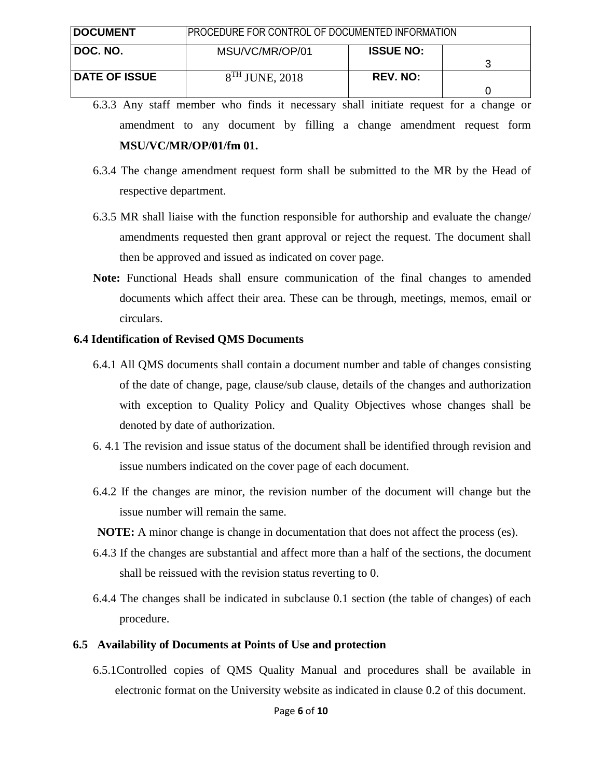| <b>DOCUMENT</b>      | PROCEDURE FOR CONTROL OF DOCUMENTED INFORMATION |                  |  |
|----------------------|-------------------------------------------------|------------------|--|
| ∣ DOC. NO.           | MSU/VC/MR/OP/01                                 | <b>ISSUE NO:</b> |  |
| <b>DATE OF ISSUE</b> | $8TH$ JUNE, 2018                                | <b>REV. NO:</b>  |  |

- 6.3.3 Any staff member who finds it necessary shall initiate request for a change or amendment to any document by filling a change amendment request form **MSU/VC/MR/OP/01/fm 01.**
- 6.3.4 The change amendment request form shall be submitted to the MR by the Head of respective department.
- 6.3.5 MR shall liaise with the function responsible for authorship and evaluate the change/ amendments requested then grant approval or reject the request. The document shall then be approved and issued as indicated on cover page.
- **Note:** Functional Heads shall ensure communication of the final changes to amended documents which affect their area. These can be through, meetings, memos, email or circulars.

#### **6.4 Identification of Revised QMS Documents**

- 6.4.1 All QMS documents shall contain a document number and table of changes consisting of the date of change, page, clause/sub clause, details of the changes and authorization with exception to Quality Policy and Quality Objectives whose changes shall be denoted by date of authorization.
- 6. 4.1 The revision and issue status of the document shall be identified through revision and issue numbers indicated on the cover page of each document.
- 6.4.2 If the changes are minor, the revision number of the document will change but the issue number will remain the same.
- **NOTE:** A minor change is change in documentation that does not affect the process (es).
- 6.4.3 If the changes are substantial and affect more than a half of the sections, the document shall be reissued with the revision status reverting to 0.
- 6.4.4 The changes shall be indicated in subclause 0.1 section (the table of changes) of each procedure.

#### **6.5 Availability of Documents at Points of Use and protection**

6.5.1Controlled copies of QMS Quality Manual and procedures shall be available in electronic format on the University website as indicated in clause 0.2 of this document.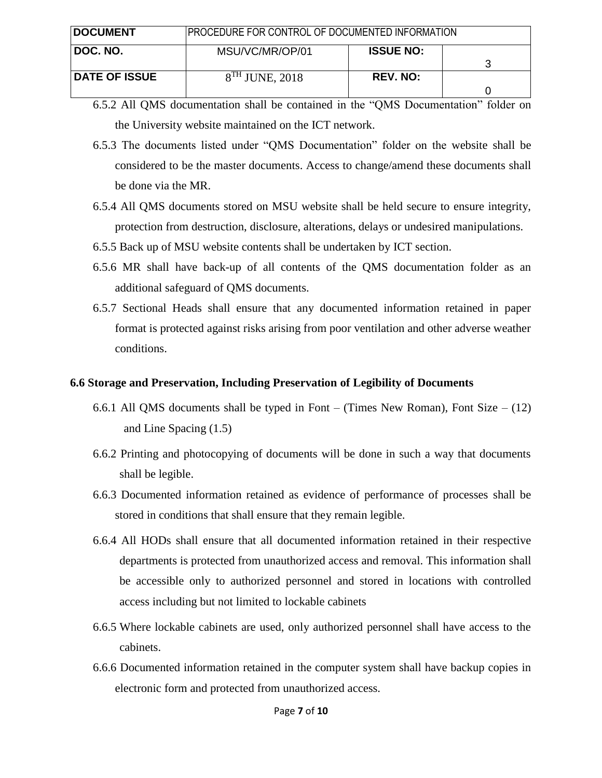| <b>IDOCUMENT</b>     | PROCEDURE FOR CONTROL OF DOCUMENTED INFORMATION |                  |  |
|----------------------|-------------------------------------------------|------------------|--|
| ∣ DOC. NO.           | MSU/VC/MR/OP/01                                 | <b>ISSUE NO:</b> |  |
| <b>DATE OF ISSUE</b> | $8TH$ JUNE, 2018                                | <b>REV. NO:</b>  |  |

- 6.5.2 All QMS documentation shall be contained in the "QMS Documentation" folder on the University website maintained on the ICT network.
- 6.5.3 The documents listed under "QMS Documentation" folder on the website shall be considered to be the master documents. Access to change/amend these documents shall be done via the MR.
- 6.5.4 All QMS documents stored on MSU website shall be held secure to ensure integrity, protection from destruction, disclosure, alterations, delays or undesired manipulations.
- 6.5.5 Back up of MSU website contents shall be undertaken by ICT section.
- 6.5.6 MR shall have back-up of all contents of the QMS documentation folder as an additional safeguard of QMS documents.
- 6.5.7 Sectional Heads shall ensure that any documented information retained in paper format is protected against risks arising from poor ventilation and other adverse weather conditions.

### **6.6 Storage and Preservation, Including Preservation of Legibility of Documents**

- 6.6.1 All QMS documents shall be typed in Font (Times New Roman), Font Size (12) and Line Spacing (1.5)
- 6.6.2 Printing and photocopying of documents will be done in such a way that documents shall be legible.
- 6.6.3 Documented information retained as evidence of performance of processes shall be stored in conditions that shall ensure that they remain legible.
- 6.6.4 All HODs shall ensure that all documented information retained in their respective departments is protected from unauthorized access and removal. This information shall be accessible only to authorized personnel and stored in locations with controlled access including but not limited to lockable cabinets
- 6.6.5 Where lockable cabinets are used, only authorized personnel shall have access to the cabinets.
- 6.6.6 Documented information retained in the computer system shall have backup copies in electronic form and protected from unauthorized access.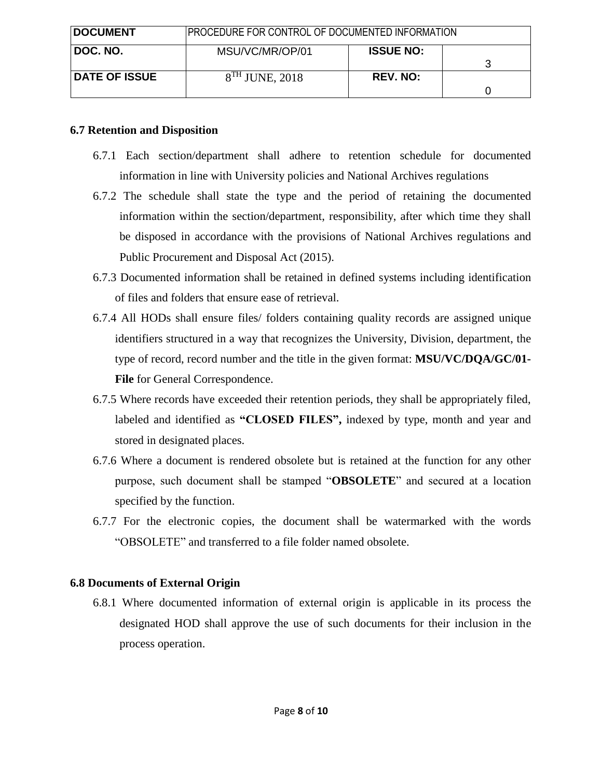| <b>DOCUMENT</b>      | PROCEDURE FOR CONTROL OF DOCUMENTED INFORMATION |                  |  |
|----------------------|-------------------------------------------------|------------------|--|
| I DOC. NO.           | MSU/VC/MR/OP/01                                 | <b>ISSUE NO:</b> |  |
| <b>DATE OF ISSUE</b> | $8TH$ JUNE, 2018                                | <b>REV. NO:</b>  |  |

### **6.7 Retention and Disposition**

- 6.7.1 Each section/department shall adhere to retention schedule for documented information in line with University policies and National Archives regulations
- 6.7.2 The schedule shall state the type and the period of retaining the documented information within the section/department, responsibility, after which time they shall be disposed in accordance with the provisions of National Archives regulations and Public Procurement and Disposal Act (2015).
- 6.7.3 Documented information shall be retained in defined systems including identification of files and folders that ensure ease of retrieval.
- 6.7.4 All HODs shall ensure files/ folders containing quality records are assigned unique identifiers structured in a way that recognizes the University, Division, department, the type of record, record number and the title in the given format: **MSU/VC/DQA/GC/01- File** for General Correspondence.
- 6.7.5 Where records have exceeded their retention periods, they shall be appropriately filed, labeled and identified as **"CLOSED FILES",** indexed by type, month and year and stored in designated places.
- 6.7.6 Where a document is rendered obsolete but is retained at the function for any other purpose, such document shall be stamped "**OBSOLETE**" and secured at a location specified by the function.
- 6.7.7 For the electronic copies, the document shall be watermarked with the words "OBSOLETE" and transferred to a file folder named obsolete.

## **6.8 Documents of External Origin**

6.8.1 Where documented information of external origin is applicable in its process the designated HOD shall approve the use of such documents for their inclusion in the process operation.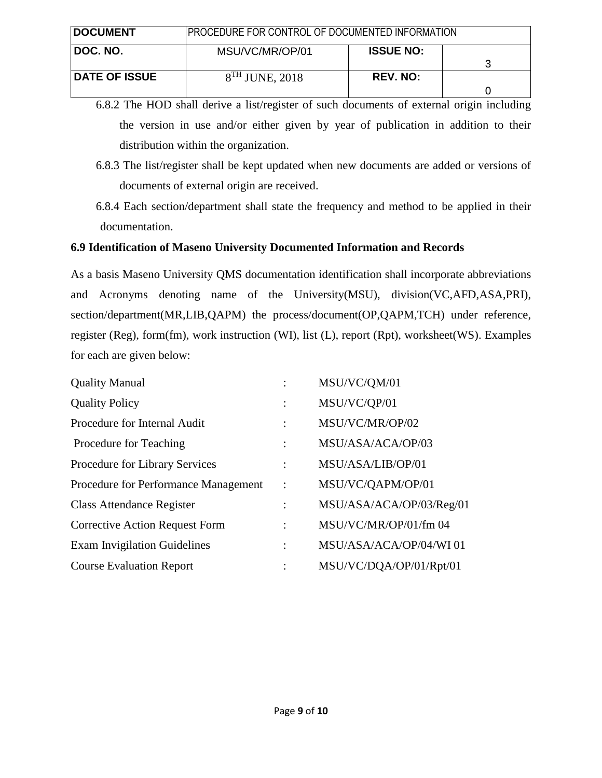| <b>DOCUMENT</b>      | <b>PROCEDURE FOR CONTROL OF DOCUMENTED INFORMATION</b> |                  |  |
|----------------------|--------------------------------------------------------|------------------|--|
| ∣ DOC. NO.           | MSU/VC/MR/OP/01                                        | <b>ISSUE NO:</b> |  |
| <b>DATE OF ISSUE</b> | $8TH$ JUNE, 2018                                       | <b>REV. NO:</b>  |  |

6.8.2 The HOD shall derive a list/register of such documents of external origin including the version in use and/or either given by year of publication in addition to their distribution within the organization.

- 6.8.3 The list/register shall be kept updated when new documents are added or versions of documents of external origin are received.
- 6.8.4 Each section/department shall state the frequency and method to be applied in their documentation.

## **6.9 Identification of Maseno University Documented Information and Records**

As a basis Maseno University QMS documentation identification shall incorporate abbreviations and Acronyms denoting name of the University(MSU), division(VC,AFD,ASA,PRI), section/department(MR,LIB,QAPM) the process/document(OP,QAPM,TCH) under reference, register (Reg), form(fm), work instruction (WI), list (L), report (Rpt), worksheet(WS). Examples for each are given below:

| <b>Quality Manual</b>                 |                | MSU/VC/QM/01             |
|---------------------------------------|----------------|--------------------------|
| <b>Quality Policy</b>                 | $\bullet$      | MSU/VC/QP/01             |
| Procedure for Internal Audit          |                | MSU/VC/MR/OP/02          |
| Procedure for Teaching                | $\ddot{\cdot}$ | MSU/ASA/ACA/OP/03        |
| Procedure for Library Services        | $\ddot{\cdot}$ | MSU/ASA/LIB/OP/01        |
| Procedure for Performance Management  | $\ddot{\cdot}$ | MSU/VC/QAPM/OP/01        |
| <b>Class Attendance Register</b>      | $\ddot{\cdot}$ | MSU/ASA/ACA/OP/03/Reg/01 |
| <b>Corrective Action Request Form</b> | $\ddot{\cdot}$ | MSU/VC/MR/OP/01/fm 04    |
| <b>Exam Invigilation Guidelines</b>   | $\ddot{\cdot}$ | MSU/ASA/ACA/OP/04/WI01   |
| <b>Course Evaluation Report</b>       |                | MSU/VC/DQA/OP/01/Rpt/01  |